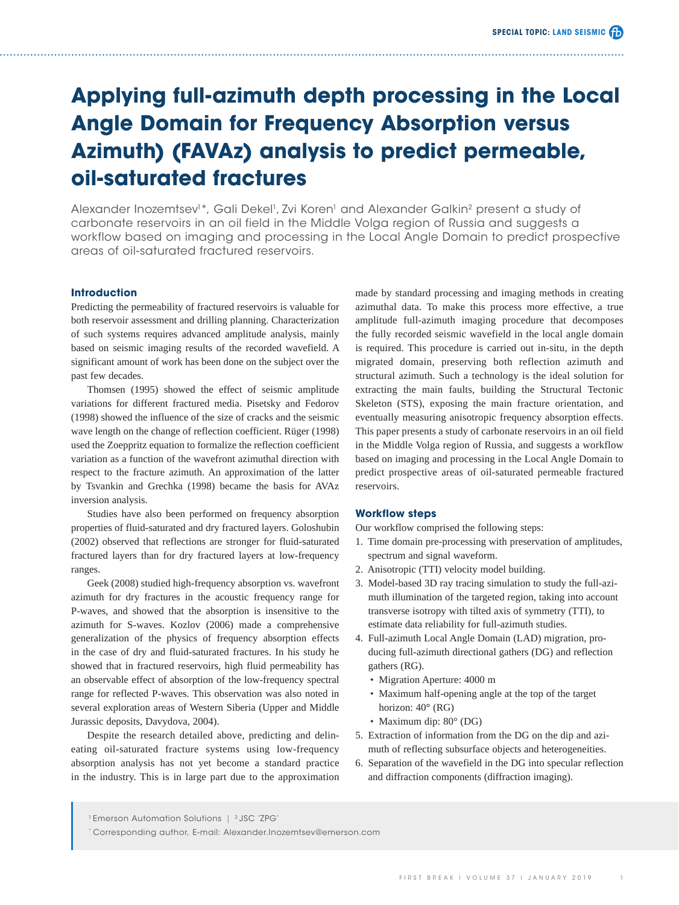# **Applying full-azimuth depth processing in the Local Angle Domain for Frequency Absorption versus Azimuth) (FAVAz) analysis to predict permeable, oil-saturated fractures**

Alexander Inozemtsev<sup>1</sup>\*, Gali Dekel<sup>1</sup>, Zvi Koren<sup>1</sup> and Alexander Galkin<sup>2</sup> present a study of carbonate reservoirs in an oil field in the Middle Volga region of Russia and suggests a workflow based on imaging and processing in the Local Angle Domain to predict prospective areas of oil-saturated fractured reservoirs.

# **Introduction**

Predicting the permeability of fractured reservoirs is valuable for both reservoir assessment and drilling planning. Characterization of such systems requires advanced amplitude analysis, mainly based on seismic imaging results of the recorded wavefield. A significant amount of work has been done on the subject over the past few decades.

Thomsen (1995) showed the effect of seismic amplitude variations for different fractured media. Pisetsky and Fedorov (1998) showed the influence of the size of cracks and the seismic wave length on the change of reflection coefficient. Rüger (1998) used the Zoeppritz equation to formalize the reflection coefficient variation as a function of the wavefront azimuthal direction with respect to the fracture azimuth. An approximation of the latter by Tsvankin and Grechka (1998) became the basis for AVAz inversion analysis.

Studies have also been performed on frequency absorption properties of fluid-saturated and dry fractured layers. Goloshubin (2002) observed that reflections are stronger for fluid-saturated fractured layers than for dry fractured layers at low-frequency ranges.

Geek (2008) studied high-frequency absorption vs. wavefront azimuth for dry fractures in the acoustic frequency range for P-waves, and showed that the absorption is insensitive to the azimuth for S-waves. Kozlov (2006) made a comprehensive generalization of the physics of frequency absorption effects in the case of dry and fluid-saturated fractures. In his study he showed that in fractured reservoirs, high fluid permeability has an observable effect of absorption of the low-frequency spectral range for reflected P-waves. This observation was also noted in several exploration areas of Western Siberia (Upper and Middle Jurassic deposits, Davydova, 2004).

Despite the research detailed above, predicting and delineating oil-saturated fracture systems using low-frequency absorption analysis has not yet become a standard practice in the industry. This is in large part due to the approximation made by standard processing and imaging methods in creating azimuthal data. To make this process more effective, a true amplitude full-azimuth imaging procedure that decomposes the fully recorded seismic wavefield in the local angle domain is required. This procedure is carried out in-situ, in the depth migrated domain, preserving both reflection azimuth and structural azimuth. Such a technology is the ideal solution for extracting the main faults, building the Structural Tectonic Skeleton (STS), exposing the main fracture orientation, and eventually measuring anisotropic frequency absorption effects. This paper presents a study of carbonate reservoirs in an oil field in the Middle Volga region of Russia, and suggests a workflow based on imaging and processing in the Local Angle Domain to predict prospective areas of oil-saturated permeable fractured reservoirs.

### **Workflow steps**

Our workflow comprised the following steps:

- 1. Time domain pre-processing with preservation of amplitudes, spectrum and signal waveform.
- 2. Anisotropic (TTI) velocity model building.
- 3. Model-based 3D ray tracing simulation to study the full-azimuth illumination of the targeted region, taking into account transverse isotropy with tilted axis of symmetry (TTI), to estimate data reliability for full-azimuth studies.
- 4. Full-azimuth Local Angle Domain (LAD) migration, producing full-azimuth directional gathers (DG) and reflection gathers (RG).
	- Migration Aperture: 4000 m
	- Maximum half-opening angle at the top of the target horizon:  $40^\circ$  (RG)
	- Maximum dip: 80° (DG)
- 5. Extraction of information from the DG on the dip and azimuth of reflecting subsurface objects and heterogeneities.
- 6. Separation of the wavefield in the DG into specular reflection and diffraction components (diffraction imaging).

<sup>&</sup>lt;sup>1</sup> Emerson Automation Solutions | <sup>2</sup> JSC 'ZPG'

<sup>\*</sup> Corresponding author, E-mail: Alexander.Inozemtsev@emerson.com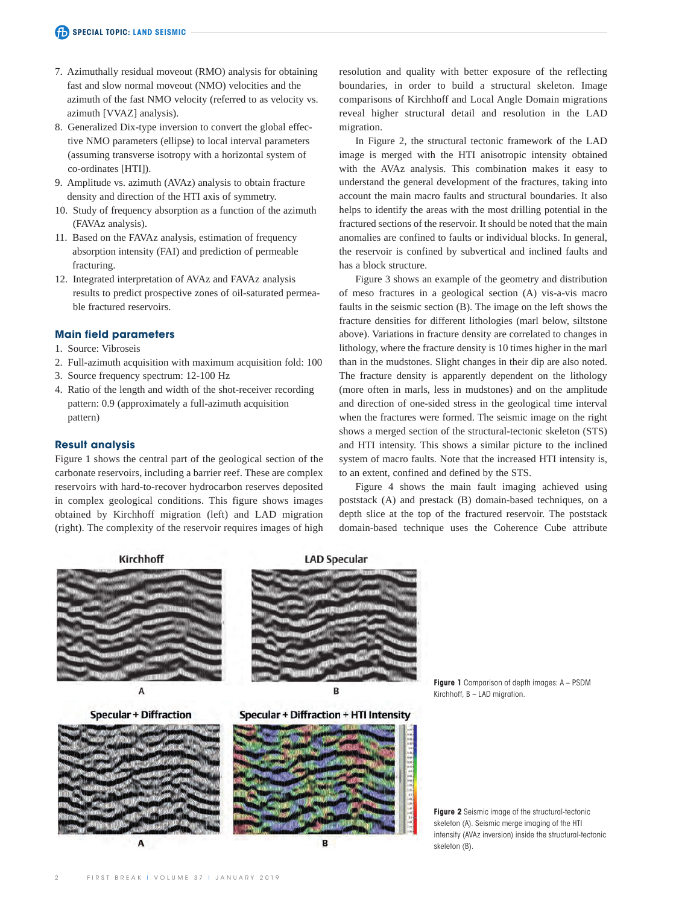- 7. Azimuthally residual moveout (RMO) analysis for obtaining fast and slow normal moveout (NMO) velocities and the azimuth of the fast NMO velocity (referred to as velocity vs. azimuth [VVAZ] analysis).
- 8. Generalized Dix-type inversion to convert the global effective NMO parameters (ellipse) to local interval parameters (assuming transverse isotropy with a horizontal system of co-ordinates [HTI]).
- 9. Amplitude vs. azimuth (AVAz) analysis to obtain fracture density and direction of the HTI axis of symmetry.
- 10. Study of frequency absorption as a function of the azimuth (FAVAz analysis).
- 11. Based on the FAVAz analysis, estimation of frequency absorption intensity (FAI) and prediction of permeable fracturing.
- 12. Integrated interpretation of AVAz and FAVAz analysis results to predict prospective zones of oil-saturated permeable fractured reservoirs.

### **Main field parameters**

- 1. Source: Vibroseis
- 2. Full-azimuth acquisition with maximum acquisition fold: 100
- 3. Source frequency spectrum: 12-100 Hz
- 4. Ratio of the length and width of the shot-receiver recording pattern: 0.9 (approximately a full-azimuth acquisition pattern)

# **Result analysis**

Figure 1 shows the central part of the geological section of the carbonate reservoirs, including a barrier reef. These are complex reservoirs with hard-to-recover hydrocarbon reserves deposited in complex geological conditions. This figure shows images obtained by Kirchhoff migration (left) and LAD migration (right). The complexity of the reservoir requires images of high

resolution and quality with better exposure of the reflecting boundaries, in order to build a structural skeleton. Image comparisons of Kirchhoff and Local Angle Domain migrations reveal higher structural detail and resolution in the LAD migration.

In Figure 2, the structural tectonic framework of the LAD image is merged with the HTI anisotropic intensity obtained with the AVAz analysis. This combination makes it easy to understand the general development of the fractures, taking into account the main macro faults and structural boundaries. It also helps to identify the areas with the most drilling potential in the fractured sections of the reservoir. It should be noted that the main anomalies are confined to faults or individual blocks. In general, the reservoir is confined by subvertical and inclined faults and has a block structure.

Figure 3 shows an example of the geometry and distribution of meso fractures in a geological section (A) vis-a-vis macro faults in the seismic section (B). The image on the left shows the fracture densities for different lithologies (marl below, siltstone above). Variations in fracture density are correlated to changes in lithology, where the fracture density is 10 times higher in the marl than in the mudstones. Slight changes in their dip are also noted. The fracture density is apparently dependent on the lithology (more often in marls, less in mudstones) and on the amplitude and direction of one-sided stress in the geological time interval when the fractures were formed. The seismic image on the right shows a merged section of the structural-tectonic skeleton (STS) and HTI intensity. This shows a similar picture to the inclined system of macro faults. Note that the increased HTI intensity is, to an extent, confined and defined by the STS.

Figure 4 shows the main fault imaging achieved using poststack (A) and prestack (B) domain-based techniques, on a depth slice at the top of the fractured reservoir. The poststack domain-based technique uses the Coherence Cube attribute





**Figure 2** Seismic image of the structural-tectonic skeleton (A). Seismic merge imaging of the HTI intensity (AVAz inversion) inside the structural-tectonic skeleton (B).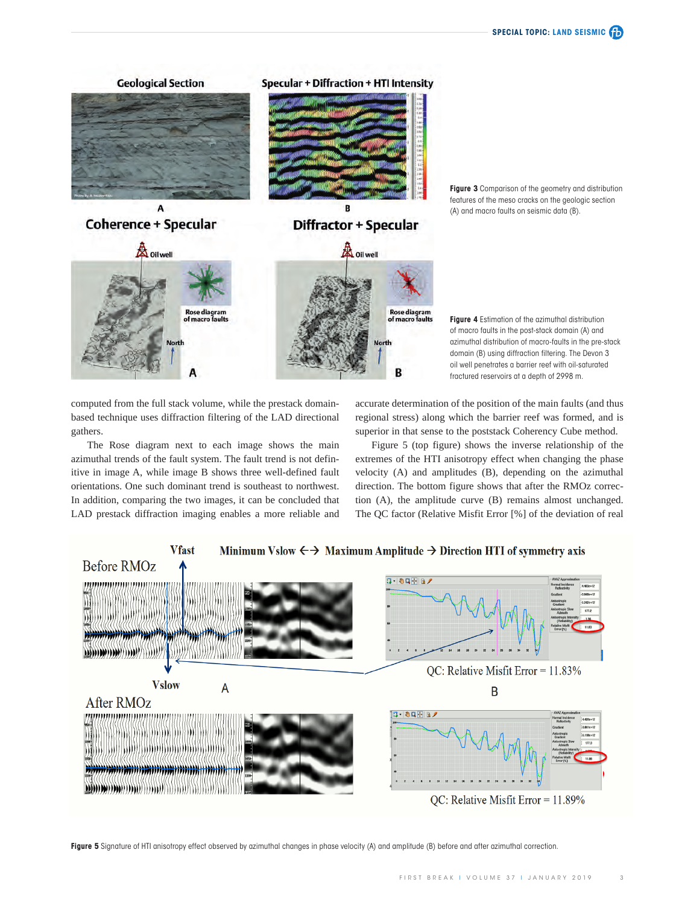

**Figure 3** Comparison of the geometry and distribution features of the meso cracks on the geologic section (A) and macro faults on seismic data (B).

of macro faults in the post-stack domain (A) and azimuthal distribution of macro-faults in the pre-stack domain (B) using diffraction filtering. The Devon 3 oil well penetrates a barrier reef with oil-saturated fractured reservoirs at a depth of 2998 m.

computed from the full stack volume, while the prestack domainbased technique uses diffraction filtering of the LAD directional gathers.

The Rose diagram next to each image shows the main azimuthal trends of the fault system. The fault trend is not definitive in image A, while image B shows three well-defined fault orientations. One such dominant trend is southeast to northwest. In addition, comparing the two images, it can be concluded that LAD prestack diffraction imaging enables a more reliable and accurate determination of the position of the main faults (and thus regional stress) along which the barrier reef was formed, and is superior in that sense to the poststack Coherency Cube method.

Figure 5 (top figure) shows the inverse relationship of the extremes of the HTI anisotropy effect when changing the phase velocity (A) and amplitudes (B), depending on the azimuthal direction. The bottom figure shows that after the RMOz correction (A), the amplitude curve (B) remains almost unchanged. The QC factor (Relative Misfit Error [%] of the deviation of real



**Figure 5** Signature of HTI anisotropy effect observed by azimuthal changes in phase velocity (A) and amplitude (B) before and after azimuthal correction.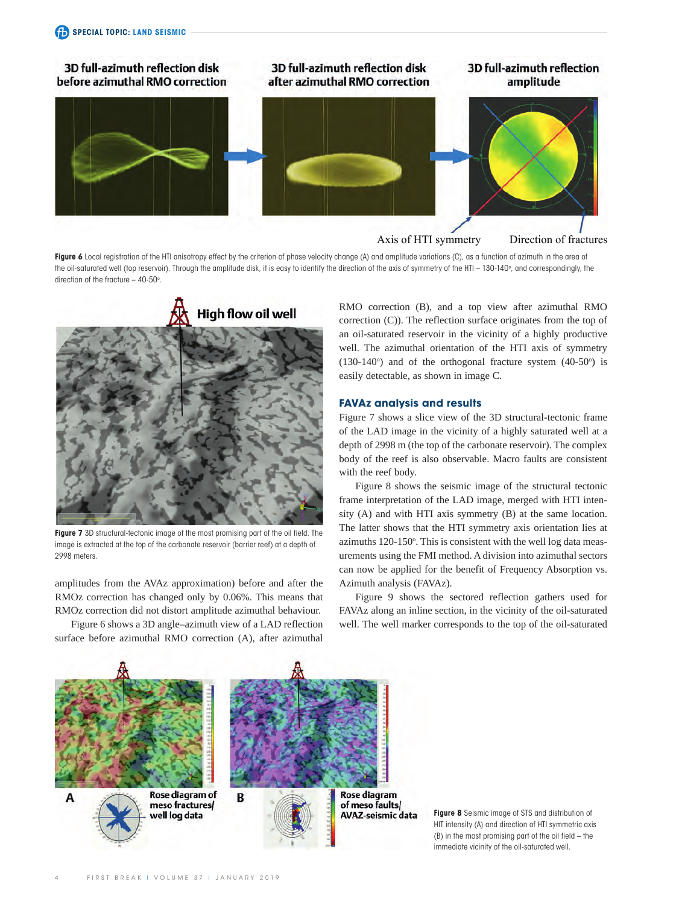# 3D full-azimuth reflection disk 3D full-azimuth reflection disk 3D full-azimuth reflection after azimuthal RMO correction before azimuthal RMO correction amplitude

Axis of HTI symmetry Direction of fractures

Figure 6 Local registration of the HTI anisotropy effect by the criterion of phase velocity change (A) and amplitude variations (C), as a function of azimuth in the area of the oil-saturated well (top reservoir). Through the amplitude disk, it is easy to identify the direction of the axis of symmetry of the HTI – 130-140°, and correspondingly, the direction of the fracture  $-40-50^\circ$ .



**Figure 7** 3D structural-tectonic image of the most promising part of the oil field. The image is extracted at the top of the carbonate reservoir (barrier reef) at a depth of 2998 meters.

amplitudes from the AVAz approximation) before and after the RMOz correction has changed only by 0.06%. This means that RMOz correction did not distort amplitude azimuthal behaviour.

Figure 6 shows a 3D angle–azimuth view of a LAD reflection surface before azimuthal RMO correction (A), after azimuthal

RMO correction (B), and a top view after azimuthal RMO correction (C)). The reflection surface originates from the top of an oil-saturated reservoir in the vicinity of a highly productive well. The azimuthal orientation of the HTI axis of symmetry  $(130-140°)$  and of the orthogonal fracture system  $(40-50°)$  is easily detectable, as shown in image C.

# **FAVAz analysis and results**

Figure 7 shows a slice view of the 3D structural-tectonic frame of the LAD image in the vicinity of a highly saturated well at a depth of 2998 m (the top of the carbonate reservoir). The complex body of the reef is also observable. Macro faults are consistent with the reef body.

Figure 8 shows the seismic image of the structural tectonic frame interpretation of the LAD image, merged with HTI intensity (A) and with HTI axis symmetry (B) at the same location. The latter shows that the HTI symmetry axis orientation lies at azimuths 120-150°. This is consistent with the well log data measurements using the FMI method. A division into azimuthal sectors can now be applied for the benefit of Frequency Absorption vs. Azimuth analysis (FAVAz).

Figure 9 shows the sectored reflection gathers used for FAVAz along an inline section, in the vicinity of the oil-saturated well. The well marker corresponds to the top of the oil-saturated



**Figure 8** Seismic image of STS and distribution of HIT intensity (A) and direction of HTI symmetric axis (B) in the most promising part of the oil field – the immediate vicinity of the oil-saturated well.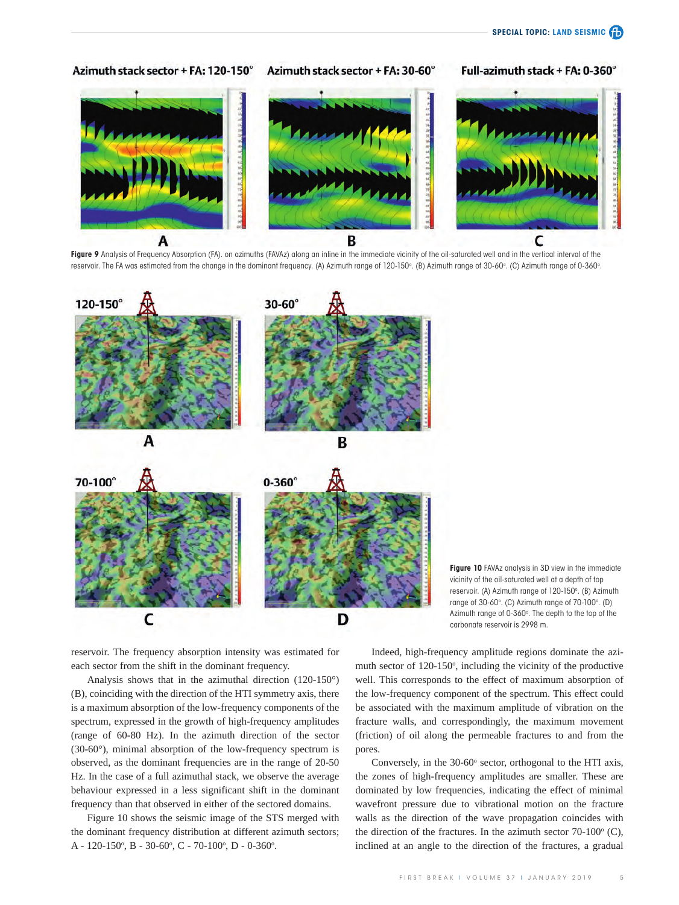Full-azimuth stack + FA: 0-360°

#### Azimuth stack sector + FA: 30-60°



Figure 9 Analysis of Frequency Absorption (FA). on azimuths (FAVAz) along an inline in the immediate vicinity of the oil-saturated well and in the vertical interval of the reservoir. The FA was estimated from the change in the dominant frequency. (A) Azimuth range of 120-150°. (B) Azimuth range of 30-60°. (C) Azimuth range of 0-360°.





reservoir. The frequency absorption intensity was estimated for each sector from the shift in the dominant frequency.

Azimuth stack sector + FA: 120-150°

Analysis shows that in the azimuthal direction (120-150°) (B), coinciding with the direction of the HTI symmetry axis, there is a maximum absorption of the low-frequency components of the spectrum, expressed in the growth of high-frequency amplitudes (range of 60-80 Hz). In the azimuth direction of the sector (30-60°), minimal absorption of the low-frequency spectrum is observed, as the dominant frequencies are in the range of 20-50 Hz. In the case of a full azimuthal stack, we observe the average behaviour expressed in a less significant shift in the dominant frequency than that observed in either of the sectored domains.

Figure 10 shows the seismic image of the STS merged with the dominant frequency distribution at different azimuth sectors; A - 120-150°, B - 30-60°, C - 70-100°, D - 0-360°.

Indeed, high-frequency amplitude regions dominate the azimuth sector of 120-150°, including the vicinity of the productive well. This corresponds to the effect of maximum absorption of the low-frequency component of the spectrum. This effect could be associated with the maximum amplitude of vibration on the fracture walls, and correspondingly, the maximum movement (friction) of oil along the permeable fractures to and from the pores.

Conversely, in the 30-60° sector, orthogonal to the HTI axis, the zones of high-frequency amplitudes are smaller. These are dominated by low frequencies, indicating the effect of minimal wavefront pressure due to vibrational motion on the fracture walls as the direction of the wave propagation coincides with the direction of the fractures. In the azimuth sector  $70-100^{\circ}$  (C), inclined at an angle to the direction of the fractures, a gradual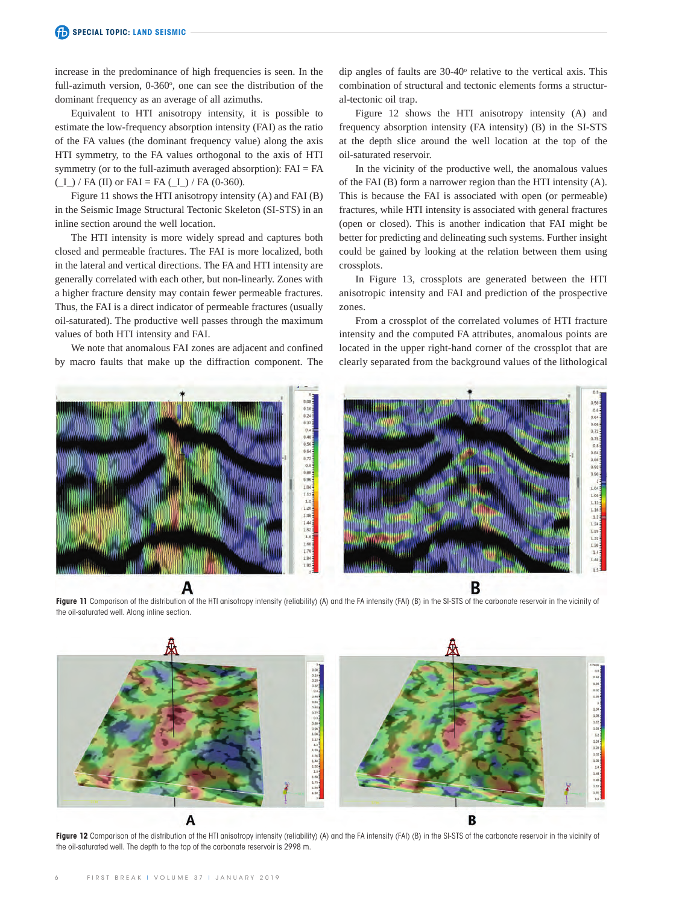increase in the predominance of high frequencies is seen. In the full-azimuth version,  $0-360^\circ$ , one can see the distribution of the dominant frequency as an average of all azimuths.

Equivalent to HTI anisotropy intensity, it is possible to estimate the low-frequency absorption intensity (FAI) as the ratio of the FA values (the dominant frequency value) along the axis HTI symmetry, to the FA values orthogonal to the axis of HTI symmetry (or to the full-azimuth averaged absorption):  $FAI = FA$  $(1)$  / FA (II) or FAI = FA  $(1)$  / FA (0-360).

Figure 11 shows the HTI anisotropy intensity (A) and FAI (B) in the Seismic Image Structural Tectonic Skeleton (SI-STS) in an inline section around the well location.

The HTI intensity is more widely spread and captures both closed and permeable fractures. The FAI is more localized, both in the lateral and vertical directions. The FA and HTI intensity are generally correlated with each other, but non-linearly. Zones with a higher fracture density may contain fewer permeable fractures. Thus, the FAI is a direct indicator of permeable fractures (usually oil-saturated). The productive well passes through the maximum values of both HTI intensity and FAI.

We note that anomalous FAI zones are adjacent and confined by macro faults that make up the diffraction component. The dip angles of faults are  $30-40^\circ$  relative to the vertical axis. This combination of structural and tectonic elements forms a structural-tectonic oil trap.

Figure 12 shows the HTI anisotropy intensity (A) and frequency absorption intensity (FA intensity) (B) in the SI-STS at the depth slice around the well location at the top of the oil-saturated reservoir.

In the vicinity of the productive well, the anomalous values of the FAI (B) form a narrower region than the HTI intensity (A). This is because the FAI is associated with open (or permeable) fractures, while HTI intensity is associated with general fractures (open or closed). This is another indication that FAI might be better for predicting and delineating such systems. Further insight could be gained by looking at the relation between them using crossplots.

In Figure 13, crossplots are generated between the HTI anisotropic intensity and FAI and prediction of the prospective zones.

From a crossplot of the correlated volumes of HTI fracture intensity and the computed FA attributes, anomalous points are located in the upper right-hand corner of the crossplot that are clearly separated from the background values of the lithological



Figure 11 Comparison of the distribution of the HTI anisotropy intensity (reliability) (A) and the FA intensity (FAI) (B) in the SI-STS of the carbonate reservoir in the vicinity of the oil-saturated well. Along inline section.



Figure 12 Comparison of the distribution of the HTI anisotropy intensity (reliability) (A) and the FA intensity (FAI) (B) in the SI-STS of the carbonate reservoir in the vicinity of the oil-saturated well. The depth to the top of the carbonate reservoir is 2998 m.